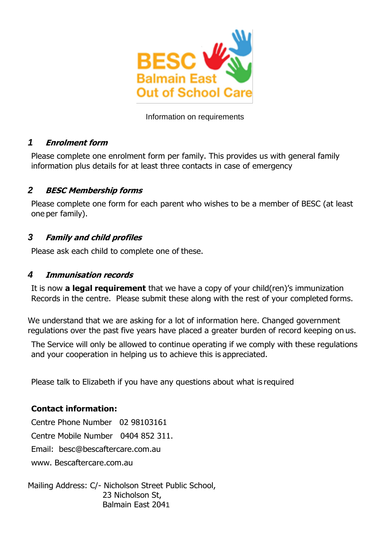

## Information on requirements

# *1* **Enrolment form**

Please complete one enrolment form per family. This provides us with general family information plus details for at least three contacts in case of emergency

# *2* **BESC Membership forms**

Please complete one form for each parent who wishes to be a member of BESC (at least one per family).

# *3* **Family and child profiles**

Please ask each child to complete one of these.

## *4* **Immunisation records**

It is now **a legal requirement** that we have a copy of your child(ren)'s immunization Records in the centre. Please submit these along with the rest of your completed forms.

We understand that we are asking for a lot of information here. Changed government regulations over the past five years have placed a greater burden of record keeping on us.

The Service will only be allowed to continue operating if we comply with these regulations and your cooperation in helping us to achieve this is appreciated.

Please talk to Elizabeth if you have any questions about what is required

# **Contact information:**

Centre Phone Number 02 98103161

Centre Mobile Number 0404 852 311.

Email: besc@bescaftercare.com.au

www. Bescaftercare.com.au

Mailing Address: C/- Nicholson Street Public School, 23 Nicholson St, Balmain East 2041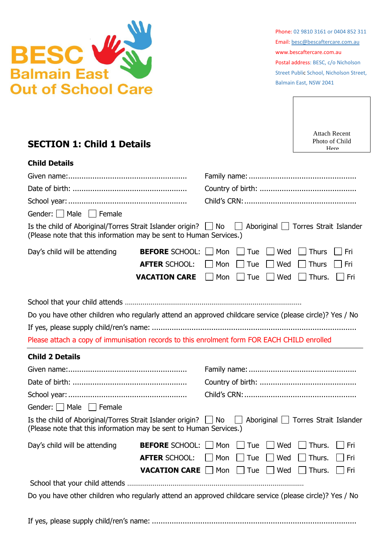

Phone: 02 9810 3161 or 0404 852 311 Email: [besc@bescaftercare.com.au](mailto:besc@bescaftercare.com.au) www.bescaftercare.com.au Postal address: BESC, c/o Nicholson Street Public School, Nicholson Street, Balmain East, NSW 2041



# **SECTION 1: Child 1 Details**

| <b>Child Details</b>                                                                                                                      |                               |     |     |     |                                     |     |
|-------------------------------------------------------------------------------------------------------------------------------------------|-------------------------------|-----|-----|-----|-------------------------------------|-----|
|                                                                                                                                           |                               |     |     |     |                                     |     |
|                                                                                                                                           |                               |     |     |     |                                     |     |
|                                                                                                                                           |                               |     |     |     |                                     |     |
| Gender: $\Box$ Male $\Box$ Female                                                                                                         |                               |     |     |     |                                     |     |
| Is the child of Aboriginal/Torres Strait Islander origin? $\Box$ No<br>(Please note that this information may be sent to Human Services.) |                               |     |     |     | Aboriginal   Torres Strait Islander |     |
| Day's child will be attending<br><b>BEFORE SCHOOL:</b>                                                                                    |                               | Mon | Tue | Wed | <b>Thurs</b>                        | Fri |
|                                                                                                                                           | <b>AFTER SCHOOL:</b>          | Mon | Tue | Wed | <b>Thurs</b>                        | Fri |
|                                                                                                                                           | <b>VACATION CARE</b>          | Mon | Tue | Wed | Thurs.                              | Fri |
|                                                                                                                                           |                               |     |     |     |                                     |     |
| Do you have other children who regularly attend an approved childcare service (please circle)? Yes / No                                   |                               |     |     |     |                                     |     |
|                                                                                                                                           |                               |     |     |     |                                     |     |
| Please attach a copy of immunisation records to this enrolment form FOR EACH CHILD enrolled                                               |                               |     |     |     |                                     |     |
| <b>Child 2 Details</b>                                                                                                                    |                               |     |     |     |                                     |     |
|                                                                                                                                           |                               |     |     |     |                                     |     |
|                                                                                                                                           |                               |     |     |     |                                     |     |
|                                                                                                                                           |                               |     |     |     |                                     |     |
| Gender: Male Female                                                                                                                       |                               |     |     |     |                                     |     |
| Is the child of Aboriginal/Torres Strait Islander origin? $\Box$ No<br>(Please note that this information may be sent to Human Services.) |                               |     |     |     | Aboriginal   Torres Strait Islander |     |
| Day's child will be attending                                                                                                             | <b>BEFORE</b> SCHOOL:     Mon |     | Tue | Wed | Thurs.                              | Fri |
|                                                                                                                                           | <b>AFTER SCHOOL:</b>          | Mon | Tue | Wed | Thurs.                              | Fri |
|                                                                                                                                           | <b>VACATION CARE</b>          | Mon | Tue | Wed | Thurs.                              | Fri |
|                                                                                                                                           |                               |     |     |     |                                     |     |
| Do you have other children who regularly attend an approved childcare service (please circle)? Yes / No                                   |                               |     |     |     |                                     |     |

If yes, please supply child/ren's name: .............................................................................................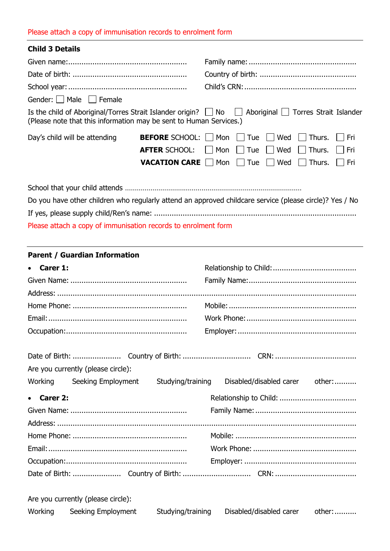#### Please attach a copy of immunisation records to enrolment form

| <b>Child 3 Details</b>                                             |  |                                                                                                                                                                |  |  |  |
|--------------------------------------------------------------------|--|----------------------------------------------------------------------------------------------------------------------------------------------------------------|--|--|--|
|                                                                    |  |                                                                                                                                                                |  |  |  |
|                                                                    |  |                                                                                                                                                                |  |  |  |
|                                                                    |  |                                                                                                                                                                |  |  |  |
| Gender:   Male   Female                                            |  |                                                                                                                                                                |  |  |  |
| (Please note that this information may be sent to Human Services.) |  | Is the child of Aboriginal/Torres Strait Islander origin? No Aboriginal Torres Strait Islander                                                                 |  |  |  |
| Day's child will be attending                                      |  | <b>BEFORE</b> SCHOOL: Mon Tue Wed Thurs. Fri<br><b>AFTER SCHOOL:</b> Mon Tue Wed Thurs. Fri<br><b>VACATION CARE</b>     Mon     Tue     Wed     Thurs.     Fri |  |  |  |
|                                                                    |  |                                                                                                                                                                |  |  |  |
|                                                                    |  | Do you have other children who regularly attend an approved childcare service (please circle)? Yes / No                                                        |  |  |  |
|                                                                    |  |                                                                                                                                                                |  |  |  |

Please attach a copy of immunisation records to enrolment form

## **Parent / Guardian Information**

| • Carer 1:                                         |                                |
|----------------------------------------------------|--------------------------------|
|                                                    |                                |
|                                                    |                                |
|                                                    |                                |
|                                                    |                                |
|                                                    |                                |
|                                                    |                                |
|                                                    |                                |
| Are you currently (please circle):                 |                                |
| Working<br>Seeking Employment<br>Studying/training | Disabled/disabled carer other: |
| • Carer 2:                                         |                                |
|                                                    |                                |
|                                                    |                                |
|                                                    |                                |
|                                                    |                                |
|                                                    |                                |
|                                                    |                                |
|                                                    |                                |

Are you currently (please circle):

| Working | Seeking Employment | Studying/training | Disabled/disabled carer | other: |
|---------|--------------------|-------------------|-------------------------|--------|
|---------|--------------------|-------------------|-------------------------|--------|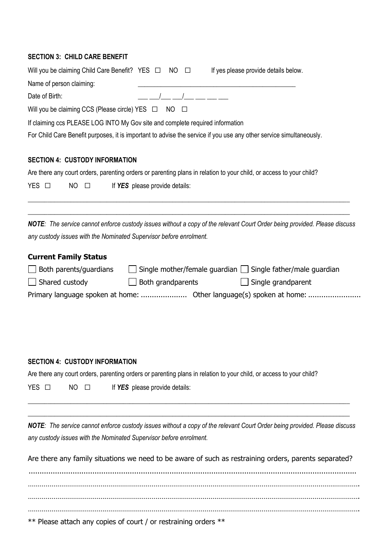#### **SECTION 3: CHILD CARE BENEFIT**

*NOTE: The service cannot enforce custody issues without a copy of the relevant Court Order being provided. Please discuss any custody issues with the Nominated Supervisor before enrolment.*

 $\_$  , and the set of the set of the set of the set of the set of the set of the set of the set of the set of the set of the set of the set of the set of the set of the set of the set of the set of the set of the set of th

Are there any family situations we need to be aware of such as restraining orders, parents separated?

..................................................................................................................................................... ……………………………………………………………………………………………………………………………………………………. ……………………………………………………………………………………………………………………………………………………. ……………………………………………………………………………………………………………………………………………………. \*\* Please attach any copies of court / or restraining orders \*\*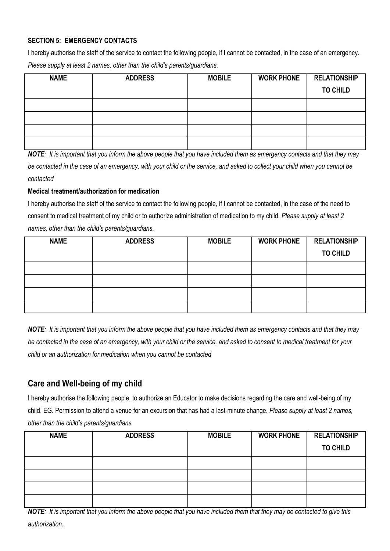#### **SECTION 5: EMERGENCY CONTACTS**

I hereby authorise the staff of the service to contact the following people, if I cannot be contacted, in the case of an emergency. *Please supply at least 2 names, other than the child's parents/guardians.*

| <b>NAME</b> | <b>ADDRESS</b> | <b>MOBILE</b> | <b>WORK PHONE</b> | <b>RELATIONSHIP</b> |
|-------------|----------------|---------------|-------------------|---------------------|
|             |                |               |                   | <b>TO CHILD</b>     |
|             |                |               |                   |                     |
|             |                |               |                   |                     |
|             |                |               |                   |                     |
|             |                |               |                   |                     |

*NOTE: It is important that you inform the above people that you have included them as emergency contacts and that they may be contacted in the case of an emergency, with your child or the service, and asked to collect your child when you cannot be contacted*

#### **Medical treatment/authorization for medication**

I hereby authorise the staff of the service to contact the following people, if I cannot be contacted, in the case of the need to consent to medical treatment of my child or to authorize administration of medication to my child. *Please supply at least 2 names, other than the child's parents/guardians.*

| <b>NAME</b> | <b>ADDRESS</b> | <b>MOBILE</b> | <b>WORK PHONE</b> | <b>RELATIONSHIP</b> |
|-------------|----------------|---------------|-------------------|---------------------|
|             |                |               |                   | <b>TO CHILD</b>     |
|             |                |               |                   |                     |
|             |                |               |                   |                     |
|             |                |               |                   |                     |
|             |                |               |                   |                     |

*NOTE: It is important that you inform the above people that you have included them as emergency contacts and that they may be contacted in the case of an emergency, with your child or the service, and asked to consent to medical treatment for your child or an authorization for medication when you cannot be contacted*

# **Care and Well-being of my child**

I hereby authorise the following people, to authorize an Educator to make decisions regarding the care and well-being of my child. EG. Permission to attend a venue for an excursion that has had a last-minute change. *Please supply at least 2 names, other than the child's parents/guardians.*

| <b>NAME</b> | <b>ADDRESS</b> | <b>MOBILE</b> | <b>WORK PHONE</b> | <b>RELATIONSHIP</b> |
|-------------|----------------|---------------|-------------------|---------------------|
|             |                |               |                   | <b>TO CHILD</b>     |
|             |                |               |                   |                     |
|             |                |               |                   |                     |
|             |                |               |                   |                     |
|             |                |               |                   |                     |

*NOTE: It is important that you inform the above people that you have included them that they may be contacted to give this authorization.*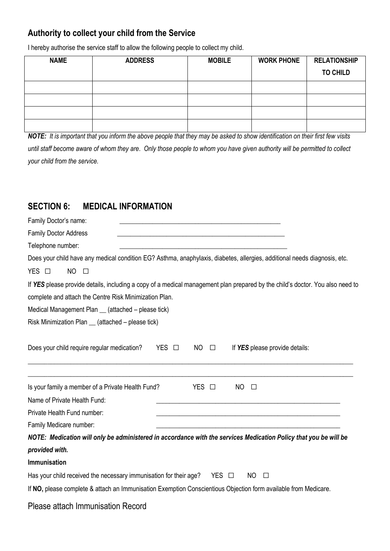# **Authority to collect your child from the Service**

I hereby authorise the service staff to allow the following people to collect my child.

| <b>NAME</b> | <b>ADDRESS</b> | <b>MOBILE</b> | <b>WORK PHONE</b> | <b>RELATIONSHIP</b> |
|-------------|----------------|---------------|-------------------|---------------------|
|             |                |               |                   | <b>TO CHILD</b>     |
|             |                |               |                   |                     |
|             |                |               |                   |                     |
|             |                |               |                   |                     |
|             |                |               |                   |                     |

*NOTE: It is important that you inform the above people that they may be asked to show identification on their first few visits until staff become aware of whom they are*. *Only those people to whom you have given authority will be permitted to collect your child from the service.*

# **SECTION 6: MEDICAL INFORMATION**

| Family Doctor's name:                                                                                                         |  |  |  |  |  |  |
|-------------------------------------------------------------------------------------------------------------------------------|--|--|--|--|--|--|
| <b>Family Doctor Address</b>                                                                                                  |  |  |  |  |  |  |
| Telephone number:                                                                                                             |  |  |  |  |  |  |
| Does your child have any medical condition EG? Asthma, anaphylaxis, diabetes, allergies, additional needs diagnosis, etc.     |  |  |  |  |  |  |
| <b>NO</b><br>YES O<br>$\Box$                                                                                                  |  |  |  |  |  |  |
| If YES please provide details, including a copy of a medical management plan prepared by the child's doctor. You also need to |  |  |  |  |  |  |
| complete and attach the Centre Risk Minimization Plan.                                                                        |  |  |  |  |  |  |
| Medical Management Plan __ (attached - please tick)                                                                           |  |  |  |  |  |  |
| Risk Minimization Plan _ (attached - please tick)                                                                             |  |  |  |  |  |  |
| Does your child require regular medication?<br>$YES$ $\square$<br>N <sub>O</sub><br>If YES please provide details:<br>$\Box$  |  |  |  |  |  |  |
| Is your family a member of a Private Health Fund?<br>YES O<br>NO<br>$\Box$                                                    |  |  |  |  |  |  |
| Name of Private Health Fund:                                                                                                  |  |  |  |  |  |  |
| Private Health Fund number:                                                                                                   |  |  |  |  |  |  |
| Family Medicare number:                                                                                                       |  |  |  |  |  |  |
| NOTE: Medication will only be administered in accordance with the services Medication Policy that you be will be              |  |  |  |  |  |  |
| provided with.                                                                                                                |  |  |  |  |  |  |
| Immunisation                                                                                                                  |  |  |  |  |  |  |
| Has your child received the necessary immunisation for their age?<br>YES □<br>N <sub>O</sub><br>$\Box$                        |  |  |  |  |  |  |
| If NO, please complete & attach an Immunisation Exemption Conscientious Objection form available from Medicare.               |  |  |  |  |  |  |
| Please attach Immunisation Record                                                                                             |  |  |  |  |  |  |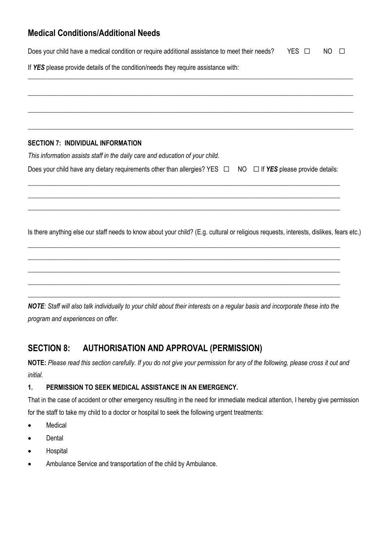# **Medical Conditions/Additional Needs**

| Does your child have a medical condition or require additional assistance to meet their needs?<br>YES 1<br>NO.<br>$\Box$                |
|-----------------------------------------------------------------------------------------------------------------------------------------|
| If YES please provide details of the condition/needs they require assistance with:                                                      |
|                                                                                                                                         |
|                                                                                                                                         |
|                                                                                                                                         |
| <b>SECTION 7: INDIVIDUAL INFORMATION</b>                                                                                                |
| This information assists staff in the daily care and education of your child.                                                           |
| Does your child have any dietary requirements other than allergies? YES $\Box$ NO $\Box$ If YES please provide details:                 |
|                                                                                                                                         |
|                                                                                                                                         |
| Is there anything else our staff needs to know about your child? (E.g. cultural or religious requests, interests, dislikes, fears etc.) |
|                                                                                                                                         |
|                                                                                                                                         |
|                                                                                                                                         |
|                                                                                                                                         |

*NOTE: Staff will also talk individually to your child about their interests on a regular basis and incorporate these into the program and experiences on offer.*

# **SECTION 8: AUTHORISATION AND APPROVAL (PERMISSION)**

**NOTE:** *Please read this section carefully. If you do not give your permission for any of the following, please cross it out and initial.*

## **1. PERMISSION TO SEEK MEDICAL ASSISTANCE IN AN EMERGENCY.**

That in the case of accident or other emergency resulting in the need for immediate medical attention, I hereby give permission for the staff to take my child to a doctor or hospital to seek the following urgent treatments:

- Medical
- Dental
- Hospital
- Ambulance Service and transportation of the child by Ambulance.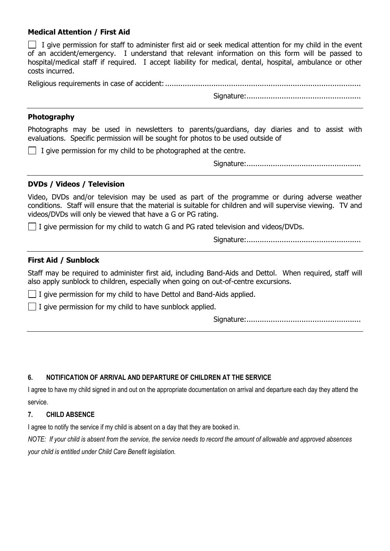#### **Medical Attention / First Aid**

 $\Box$  I give permission for staff to administer first aid or seek medical attention for my child in the event of an accident/emergency. I understand that relevant information on this form will be passed to hospital/medical staff if required. I accept liability for medical, dental, hospital, ambulance or other costs incurred.

Religious requirements in case of accident:.........................................................................................

Signature:....................................................

#### **Photography**

Photographs may be used in newsletters to parents/guardians, day diaries and to assist with evaluations. Specific permission will be sought for photos to be used outside of

 $\Box$  I give permission for my child to be photographed at the centre.

Signature:....................................................

#### **DVDs / Videos / Television**

Video, DVDs and/or television may be used as part of the programme or during adverse weather conditions. Staff will ensure that the material is suitable for children and will supervise viewing. TV and videos/DVDs will only be viewed that have a G or PG rating.

 $\Box$  I give permission for my child to watch G and PG rated television and videos/DVDs.

Signature:....................................................

#### **First Aid / Sunblock**

Staff may be required to administer first aid, including Band-Aids and Dettol. When required, staff will also apply sunblock to children, especially when going on out-of-centre excursions.

 $\Box$  I give permission for my child to have Dettol and Band-Aids applied.

 $\vert \vert$  I give permission for my child to have sunblock applied.

Signature:....................................................

#### **6. NOTIFICATION OF ARRIVAL AND DEPARTURE OF CHILDREN AT THE SERVICE**

I agree to have my child signed in and out on the appropriate documentation on arrival and departure each day they attend the service.

#### **7. CHILD ABSENCE**

I agree to notify the service if my child is absent on a day that they are booked in.

*NOTE: If your child is absent from the service, the service needs to record the amount of allowable and approved absences your child is entitled under Child Care Benefit legislation.*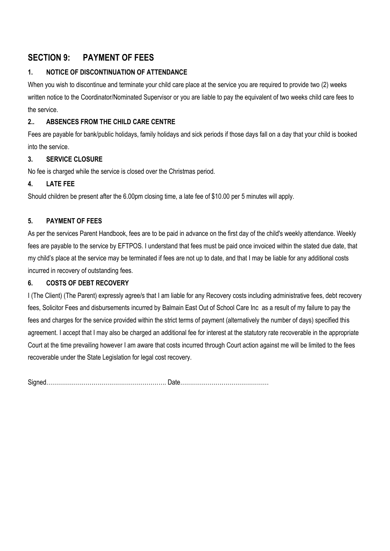# **SECTION 9: PAYMENT OF FEES**

## **1. NOTICE OF DISCONTINUATION OF ATTENDANCE**

When you wish to discontinue and terminate your child care place at the service you are required to provide two (2) weeks written notice to the Coordinator/Nominated Supervisor or you are liable to pay the equivalent of two weeks child care fees to the service.

## **2.. ABSENCES FROM THE CHILD CARE CENTRE**

Fees are payable for bank/public holidays, family holidays and sick periods if those days fall on a day that your child is booked into the service.

#### **3. SERVICE CLOSURE**

No fee is charged while the service is closed over the Christmas period.

#### **4. LATE FEE**

Should children be present after the 6.00pm closing time, a late fee of \$10.00 per 5 minutes will apply.

## **5. PAYMENT OF FEES**

As per the services Parent Handbook, fees are to be paid in advance on the first day of the child's weekly attendance. Weekly fees are payable to the service by EFTPOS. I understand that fees must be paid once invoiced within the stated due date, that my child's place at the service may be terminated if fees are not up to date, and that I may be liable for any additional costs incurred in recovery of outstanding fees.

#### **6. COSTS OF DEBT RECOVERY**

I (The Client) (The Parent) expressly agree/s that I am liable for any Recovery costs including administrative fees, debt recovery fees, Solicitor Fees and disbursements incurred by Balmain East Out of School Care Inc as a result of my failure to pay the fees and charges for the service provided within the strict terms of payment (alternatively the number of days) specified this agreement. I accept that I may also be charged an additional fee for interest at the statutory rate recoverable in the appropriate Court at the time prevailing however I am aware that costs incurred through Court action against me will be limited to the fees recoverable under the State Legislation for legal cost recovery.

Signed……………………………………………………. Date………………………………………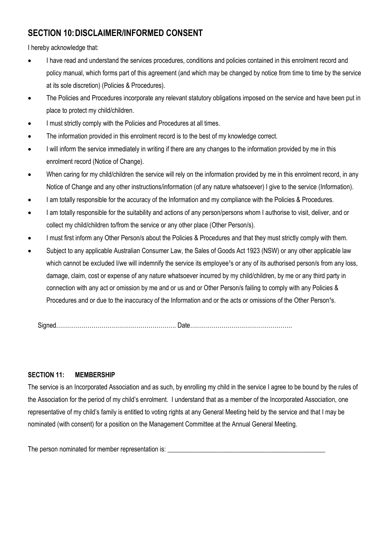# **SECTION 10:DISCLAIMER/INFORMED CONSENT**

I hereby acknowledge that:

- I have read and understand the services procedures, conditions and policies contained in this enrolment record and policy manual, which forms part of this agreement (and which may be changed by notice from time to time by the service at its sole discretion) (Policies & Procedures).
- The Policies and Procedures incorporate any relevant statutory obligations imposed on the service and have been put in place to protect my child/children.
- I must strictly comply with the Policies and Procedures at all times.
- The information provided in this enrolment record is to the best of my knowledge correct.
- I will inform the service immediately in writing if there are any changes to the information provided by me in this enrolment record (Notice of Change).
- When caring for my child/children the service will rely on the information provided by me in this enrolment record, in any Notice of Change and any other instructions/information (of any nature whatsoever) I give to the service (Information).
- I am totally responsible for the accuracy of the Information and my compliance with the Policies & Procedures.
- I am totally responsible for the suitability and actions of any person/persons whom I authorise to visit, deliver, and or collect my child/children to/from the service or any other place (Other Person/s).
- I must first inform any Other Person/s about the Policies & Procedures and that they must strictly comply with them.
- Subject to any applicable Australian Consumer Law, the Sales of Goods Act 1923 (NSW) or any other applicable law which cannot be excluded I/we will indemnify the service its employee<sup>1</sup>s or any of its authorised person/s from any loss, damage, claim, cost or expense of any nature whatsoever incurred by my child/children, by me or any third party in connection with any act or omission by me and or us and or Other Person/s failing to comply with any Policies & Procedures and or due to the inaccuracy of the Information and or the acts or omissions of the Other Person<sup>1</sup>s.

Signed……………………………………………………. Date…………………………………………….

#### **SECTION 11: MEMBERSHIP**

The service is an Incorporated Association and as such, by enrolling my child in the service I agree to be bound by the rules of the Association for the period of my child's enrolment. I understand that as a member of the Incorporated Association, one representative of my child's family is entitled to voting rights at any General Meeting held by the service and that I may be nominated (with consent) for a position on the Management Committee at the Annual General Meeting.

The person nominated for member representation is: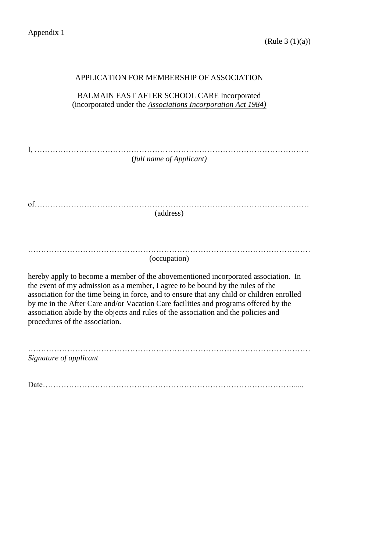| APPLICATION FOR MEMBERSHIP OF ASSOCIATION                                                                                                                                                                                                                                                                                                                                                                                                                                         |
|-----------------------------------------------------------------------------------------------------------------------------------------------------------------------------------------------------------------------------------------------------------------------------------------------------------------------------------------------------------------------------------------------------------------------------------------------------------------------------------|
| BALMAIN EAST AFTER SCHOOL CARE Incorporated<br>(incorporated under the <b>Associations Incorporation Act 1984</b> )                                                                                                                                                                                                                                                                                                                                                               |
| (full name of Applicant)                                                                                                                                                                                                                                                                                                                                                                                                                                                          |
| (address)                                                                                                                                                                                                                                                                                                                                                                                                                                                                         |
| (occupation)                                                                                                                                                                                                                                                                                                                                                                                                                                                                      |
| hereby apply to become a member of the abovementioned incorporated association. In<br>the event of my admission as a member, I agree to be bound by the rules of the<br>association for the time being in force, and to ensure that any child or children enrolled<br>by me in the After Care and/or Vacation Care facilities and programs offered by the<br>association abide by the objects and rules of the association and the policies and<br>procedures of the association. |
| Signature of applicant                                                                                                                                                                                                                                                                                                                                                                                                                                                            |
| Date.                                                                                                                                                                                                                                                                                                                                                                                                                                                                             |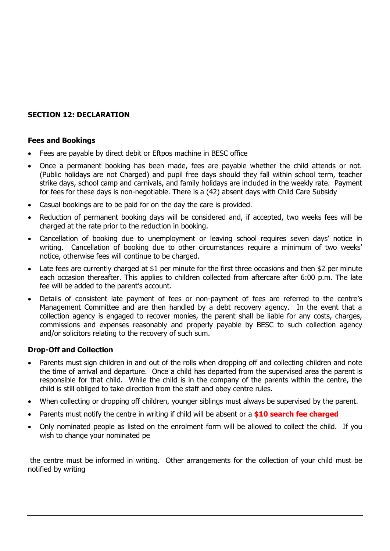### **SECTION 12: DECLARATION**

#### **Fees and Bookings**

- Fees are payable by direct debit or Eftpos machine in BESC office
- Once a permanent booking has been made, fees are payable whether the child attends or not. (Public holidays are not Charged) and pupil free days should they fall within school term, teacher strike days, school camp and carnivals, and family holidays are included in the weekly rate. Payment for fees for these days is non-negotiable. There is a (42) absent days with Child Care Subsidy
- Casual bookings are to be paid for on the day the care is provided.
- Reduction of permanent booking days will be considered and, if accepted, two weeks fees will be charged at the rate prior to the reduction in booking.
- Cancellation of booking due to unemployment or leaving school requires seven days' notice in writing. Cancellation of booking due to other circumstances require a minimum of two weeks' notice, otherwise fees will continue to be charged.
- Late fees are currently charged at \$1 per minute for the first three occasions and then \$2 per minute each occasion thereafter. This applies to children collected from aftercare after 6:00 p.m. The late fee will be added to the parent's account.
- Details of consistent late payment of fees or non-payment of fees are referred to the centre's Management Committee and are then handled by a debt recovery agency. In the event that a collection agency is engaged to recover monies, the parent shall be liable for any costs, charges, commissions and expenses reasonably and properly payable by BESC to such collection agency and/or solicitors relating to the recovery of such sum.

#### **Drop-Off and Collection**

- Parents must sign children in and out of the rolls when dropping off and collecting children and note the time of arrival and departure. Once a child has departed from the supervised area the parent is responsible for that child. While the child is in the company of the parents within the centre, the child is still obliged to take direction from the staff and obey centre rules.
- When collecting or dropping off children, younger siblings must always be supervised by the parent.
- Parents must notify the centre in writing if child will be absent or a **\$10 search fee charged**
- Only nominated people as listed on the enrolment form will be allowed to collect the child. If you wish to change your nominated pe

the centre must be informed in writing. Other arrangements for the collection of your child must be notified by writing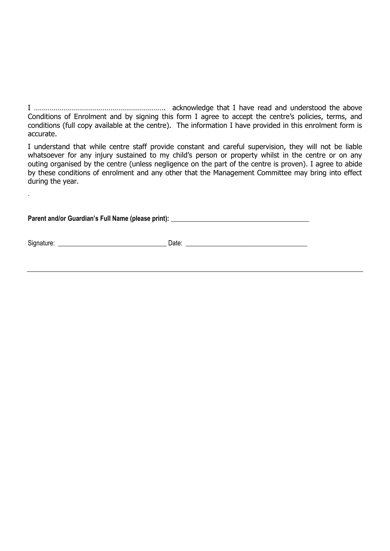I …………………………………………………………. acknowledge that I have read and understood the above Conditions of Enrolment and by signing this form I agree to accept the centre's policies, terms, and conditions (full copy available at the centre). The information I have provided in this enrolment form is accurate.

I understand that while centre staff provide constant and careful supervision, they will not be liable whatsoever for any injury sustained to my child's person or property whilst in the centre or on any outing organised by the centre (unless negligence on the part of the centre is proven). I agree to abide by these conditions of enrolment and any other that the Management Committee may bring into effect during the year.

Parent and/or Guardian's Full Name (please print): \_\_\_\_\_\_\_\_\_\_\_\_\_\_\_\_\_\_\_\_\_\_\_\_\_\_\_\_\_\_

Signature: \_\_\_\_\_\_\_\_\_\_\_\_\_\_\_\_\_\_\_\_\_\_\_\_\_\_\_\_\_\_\_\_\_ Date: \_\_\_\_\_\_\_\_\_\_\_\_\_\_\_\_\_\_\_\_\_\_\_\_\_\_\_\_\_\_\_\_\_\_\_\_\_

.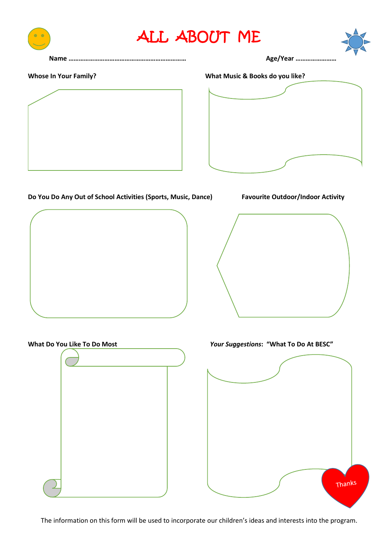



#### **Whose In Your Family? What Music & Books do you like?**



#### **Do You Do Any Out of School Activities (Sports, Music, Dance) Favourite Outdoor/Indoor Activity**









**What Do You Like To Do Most** *Your Suggestions***: "What To Do At BESC"**



The information on this form will be used to incorporate our children's ideas and interests into the program.